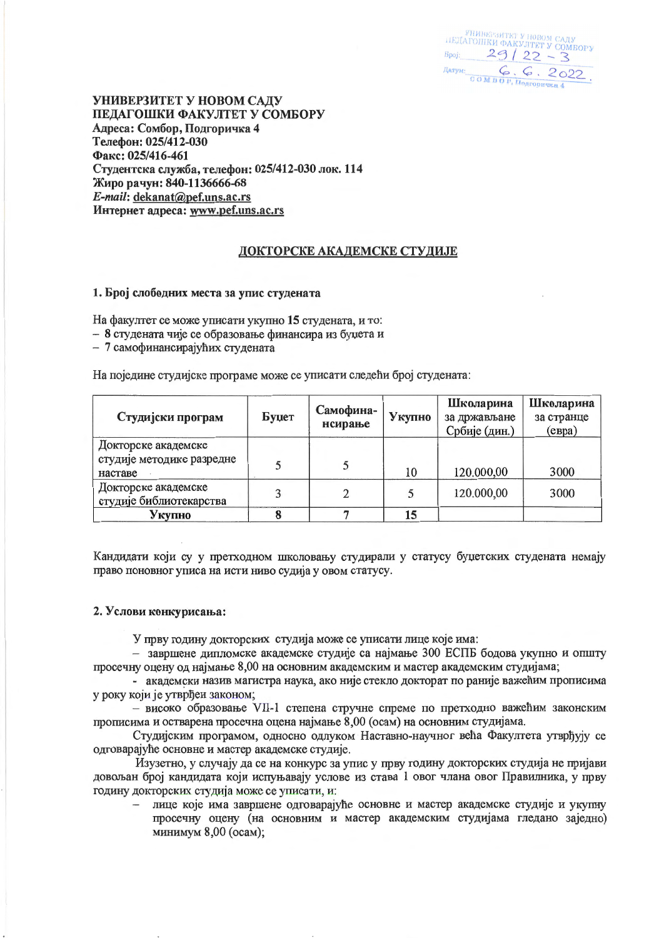инина и повом саду<br>ПЕДАГОШКИ ФАКУЛТЕТ У СОМБОРУ  $B_{\text{Pobj}}$  29/22 - 3 Датум: Сом в бр, Подгоричка 4.

УНИВЕРЗИТЕТ У НОВОМ САДУ ПЕДАГОШКИ ФАКУЛТЕТ У СОМБОРУ Адреса: Сомбор, Подгоричка 4 Телефон: 025/412-030 Факс: 025/416-461 Студентска служба, телефон: 025/412-030 лок. 114 Жиро рачун: 840-1136666-68 E-mail: dekanat@pef.uns.ac.rs Интернет адреса: www.pef.uns.ac.rs

# ДОКТОРСКЕ АКАДЕМСКЕ СТУДИЈЕ

#### 1. Број слободних места за упис студената

На факултет се може уписати укупно 15 студената, и то:

- 8 студената чије се образовање финансира из буџета и

- 7 самофинансирајућих студената

На поједине студијске програме може се уписати следећи број студената:

| Студијски програм                                           | Буџет | Самофина-<br>нсирање | Укупно | Школарина<br>за држављане<br>Србије (дин.) | Школарина<br>за странце<br>$(e$ вра) |
|-------------------------------------------------------------|-------|----------------------|--------|--------------------------------------------|--------------------------------------|
| Докторске академске<br>студије методике разредне<br>наставе |       |                      | 10     | 120.000,00                                 | 3000                                 |
| Докторске академске<br>студије библиотекарства              |       |                      |        | 120.000,00                                 | 3000                                 |
| Укупно                                                      |       |                      | 15     |                                            |                                      |

Кандидати који су у претходном школовању студирали у статусу буџетских студената немају право поновног уписа на исти ниво судија у овом статусу.

## 2. Услови конкурисања:

У прву годину докторских студија може се уписати лице које има:

- завршене дипломске академске студије са најмање 300 ЕСПБ бодова укупно и општу просечну оцену од најмање 8,00 на основним академским и мастер академским студијама;

- академски назив магистра наука, ако није стекло докторат по раније важећим прописима у року који је утврђен законом:

- високо образовање VII-1 степена стручне спреме по претходно важећим законским прописима и остварена просечна оцена најмање 8,00 (осам) на основним студијама.

Студијским програмом, односно одлуком Наставно-научног већа Факултета утврђују се одговарајуће основне и мастер академске студије.

Изузетно, у случају да се на конкурс за упис у прву годину докторских студија не пријави довољан број кандидата који испуњавају услове из става 1 овог члана овог Правилника, у прву годину докторских студија може се уписати, и:

лице које има завршене одговарајуће основне и мастер академске студије и укупну просечну оцену (на основним и мастер академским студијама гледано заједно) минимум 8,00 (осам);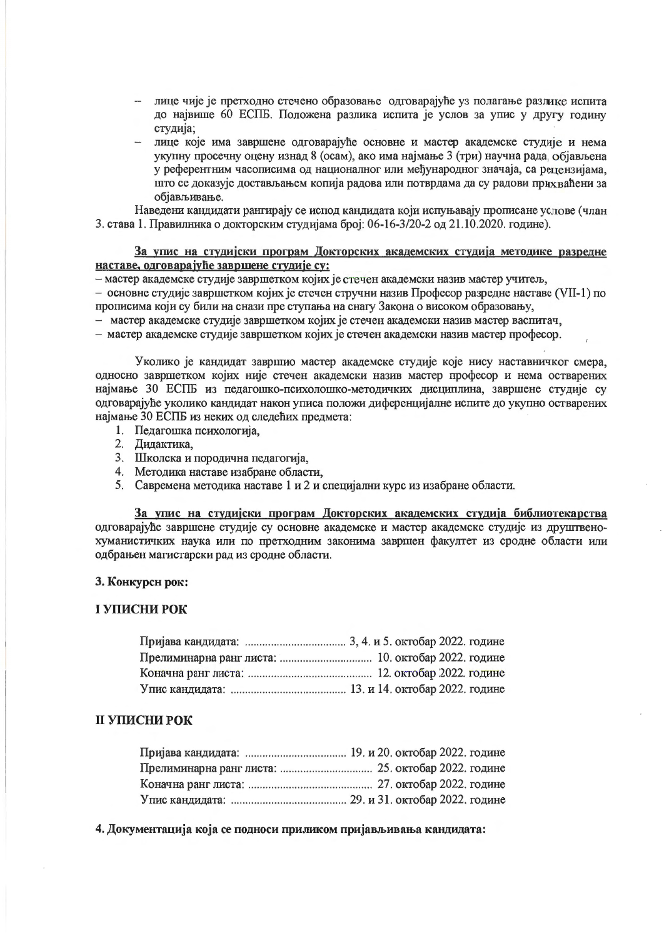- лице чије је претходно стечено образовање одговарајуће уз полагање разлике испита до највише 60 ЕСПБ. Положена разлика испита је услов за упис у другу годину студија;
- лице које има завршене одговарајуће основне и мастер академске студије и нема укупну просечну оцену изнад 8 (осам), ако има најмање 3 (три) научна рада, објављена у референтним часописима од националног или међународног значаја, са рецензијама, што се доказује достављањем копија радова или потврдама да су радови прихваћени за објављивање.

Наведени кандидати рангирају се испод кандидата који испуњавају прописане услове (члан 3. става 1. Правилника о докторским студијама број: 06-16-3/20-2 од 21.10.2020. године).

# За упис на студијски програм Докторских академских студија методике разредне наставе, одговарајуће завршене студије су:

- мастер академске студије завршетком којих је стечен академски назив мастер учитељ,

- основне студије завршетком којих је стечен стручни назив Професор разредне наставе (VII-1) по прописима који су били на снази пре ступања на снагу Закона о високом образовању,

- мастер академске студије завршетком којих је стечен академски назив мастер васпитач,

- мастер академске студије завршетком којих је стечен академски назив мастер професор.

Уколико је кандидат завршио мастер академске студије које нису наставничког смера, односно завршетком којих није стечен академски назив мастер професор и нема остварених најмање 30 ЕСПБ из педагошко-психолошко-методичких дисциплина, завршене студије су одговарајуће уколико кандидат након уписа положи диференцијалне испите до укупно остварених најмање 30 ЕСПБ из неких од следећих предмета:

- 1. Педагошка психологија,
- 2. Дидактика,
- 3. Школска и породична педагогија,
- 4. Методика наставе изабране области,
- 5. Савремена методика наставе 1 и 2 и специјални курс из изабране области.

За упис на студијски програм Докторских академских студија библиотекарства одговарајуће завршене студије су основне академске и мастер академске студије из друштвенохуманистичких наука или по претходним законима завршен факултет из сродне области или одбрањен магистарски рад из сродне области.

# 3. Конкурсн рок:

# І УПИСНИ РОК

# **II УПИСНИ РОК**

4. Документација која се подноси приликом пријављивања кандидата: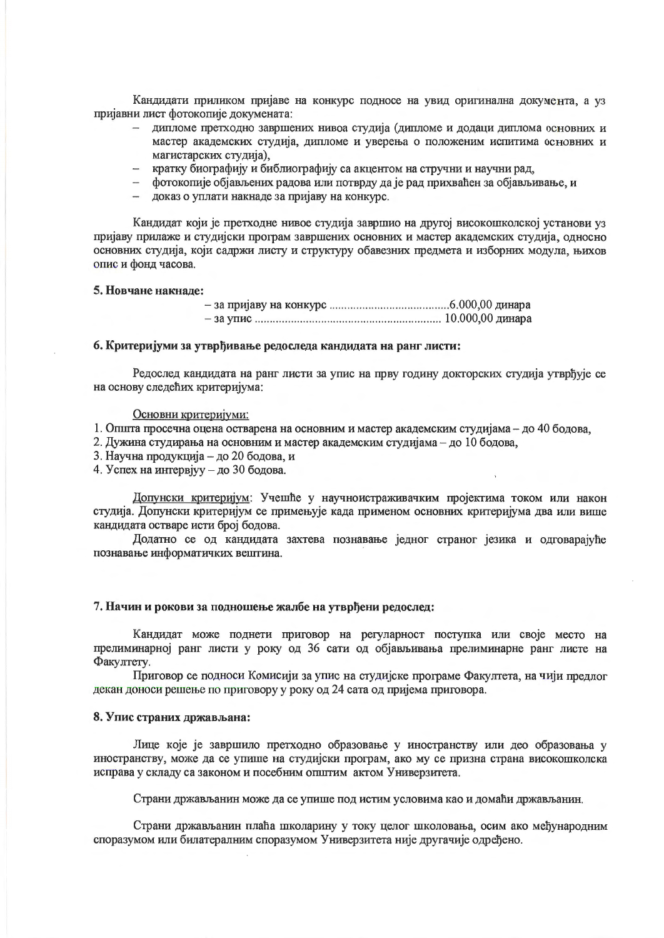Кандидати приликом пријаве на конкурс подносе на увид оригинална документа, а уз пријавни лист фотокопије докумената:

- дипломе претходно завршених нивоа студија (дипломе и додаци диплома основних и мастер академских студија, дипломе и уверења о положеним испитима основних и магистарских студија).
- кратку биографију и библиографију са акцентом на стручни и научни рад,
- фотокопије објављених радова или потврду да је рад прихваћен за објављивање, и
- доказ о уплати накнаде за пријаву на конкурс.

Кандидат који је претходне нивое студија завршио на другој високошколској установи уз пријаву прилаже и студијски програм завршених основних и мастер академских студија, односно основних студија, који садржи листу и структуру обавезних предмета и изборних модула, њихов опис и фонд часова.

#### 5. Новчане накнаде:

#### 6. Критеријуми за утврђивање редоследа кандидата на ранг листи:

Редослед кандидата на ранг листи за упис на прву годину докторских студија утврђује се на основу следећих критеријума:

#### Основни критеријуми:

1. Општа просечна оцена остварена на основним и мастер академским студијама - до 40 бодова,

- 2. Дужина студирања на основним и мастер академским студијама до 10 бодова,
- 3. Научна продукција до 20 бодова, и

4. Успех на интервјуу - до 30 бодова.

Допунски критеријум: Учешће у научноистраживачким пројектима током или након студија. Допунски критеријум се примењује када применом основних критеријума два или више кандидата остваре исти број бодова.

Додатно се од кандидата захтева познавање једног страног језика и одговарајуће познавање информатичких вештина.

# 7. Начин и рокови за подношење жалбе на утврђени редослед:

Кандидат може поднети приговор на регуларност поступка или своје место на прелиминарној ранг листи у року од 36 сати од објављивања прелиминарне ранг листе на Факултету.

Приговор се подноси Комисији за упис на студијске програме Факултета, на чији предлог декан доноси решење по приговору у року од 24 сата од пријема приговора.

## 8. Упис страних држављана:

Лице које је завршило претходно образовање у иностранству или део образовања у иностранству, може да се упише на студијски програм, ако му се призна страна високошколска исправа у складу са законом и посебним општим актом Универзитета.

Страни држављанин може да се упише под истим условима као и домаћи држављанин.

Страни држављанин плаћа школарину у току целог школовања, осим ако међународним споразумом или билатералним споразумом Универзитета није другачије одређено.